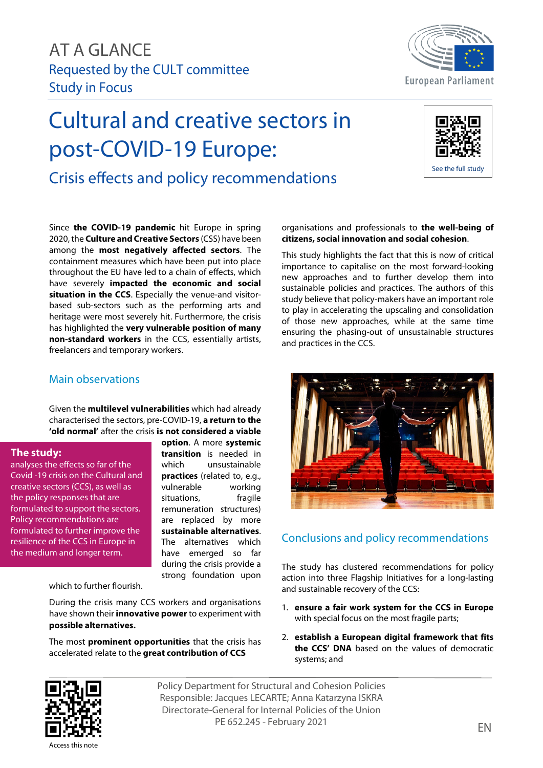AT A GLANCE Requested by the CULT committee Study in Focus

# Cultural and creative sectors in post-COVID-19 Europe:

# Crisis effects and policy recommendations



See the full study

Since **the COVID-19 pandemic** hit Europe in spring 2020, the **Culture and Creative Sectors** (CSS) have been among the **most negatively affected sectors**. The containment measures which have been put into place throughout the EU have led to a chain of effects, which have severely **impacted the economic and social situation in the CCS**. Especially the venue-and visitorbased sub-sectors such as the performing arts and heritage were most severely hit. Furthermore, the crisis has highlighted the **very vulnerable position of many non-standard workers** in the CCS, essentially artists, freelancers and temporary workers.

#### organisations and professionals to **the well-being of citizens, social innovation and social cohesion**.

This study highlights the fact that this is now of critical importance to capitalise on the most forward-looking new approaches and to further develop them into sustainable policies and practices. The authors of this study believe that policy-makers have an important role to play in accelerating the upscaling and consolidation of those new approaches, while at the same time ensuring the phasing-out of unsustainable structures and practices in the CCS.

## Main observations

Given the **multilevel vulnerabilities** which had already characterised the sectors, pre-COVID-19, **a return to the 'old normal'** after the crisis **is not considered a viable** 

### **The study:**

analyses the effects so far of the Covid -19 crisis on the Cultural and creative sectors (CCS), as well as the policy responses that are formulated to support the sectors. Policy recommendations are formulated to further improve the resilience of the CCS in Europe in the medium and longer term.

**option**. A more **systemic transition** is needed in which unsustainable **practices** (related to, e.g., vulnerable working situations, fragile remuneration structures) are replaced by more **sustainable alternatives**. The alternatives which have emerged so far during the crisis provide a strong foundation upon

which to further flourish.

During the crisis many CCS workers and organisations have shown their **innovative power** to experiment with **possible alternatives.**

The most **prominent opportunities** that the crisis has accelerated relate to the **great contribution of CCS**



# Conclusions and policy recommendations

The study has clustered recommendations for policy action into three Flagship Initiatives for a long-lasting and sustainable recovery of the CCS:

- 1. **ensure a fair work system for the CCS in Europe** with special focus on the most fragile parts;
- 2. **establish a European digital framework that fits the CCS' DNA** based on the values of democratic systems; and



Policy Department for Structural and Cohesion Policies Responsible: Jacques LECARTE; Anna Katarzyna ISKRA Directorate-General for Internal Policies of the Union PE 652.245 - February 2021